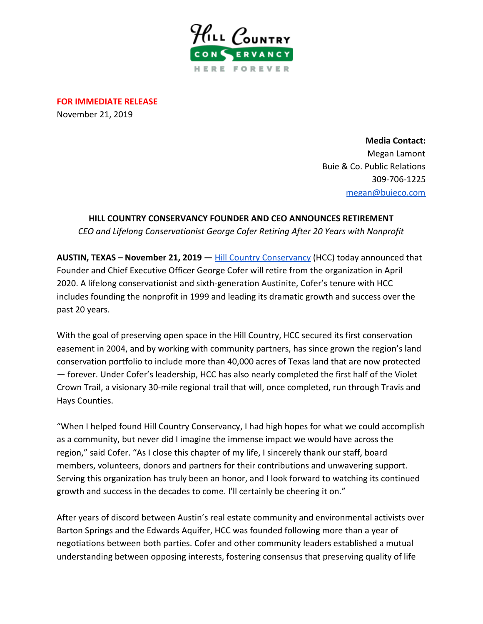

**FOR IMMEDIATE RELEASE** November 21, 2019

> **Media Contact:** Megan Lamont Buie & Co. Public Relations 309-706-1225 [megan@buieco.com](mailto:megan@buieco.com)

## **HILL COUNTRY CONSERVANCY FOUNDER AND CEO ANNOUNCES RETIREMENT**

*CEO and Lifelong Conservationist George Cofer Retiring After 20 Years with Nonprofit*

**AUSTIN, TEXAS – November 21, 2019 —** [Hill Country Conservancy](https://hillcountryconservancy.org/) (HCC) today announced that Founder and Chief Executive Officer George Cofer will retire from the organization in April 2020. A lifelong conservationist and sixth-generation Austinite, Cofer's tenure with HCC includes founding the nonprofit in 1999 and leading its dramatic growth and success over the past 20 years.

With the goal of preserving open space in the Hill Country, HCC secured its first conservation easement in 2004, and by working with community partners, has since grown the region's land conservation portfolio to include more than 40,000 acres of Texas land that are now protected — forever. Under Cofer's leadership, HCC has also nearly completed the first half of the Violet Crown Trail, a visionary 30-mile regional trail that will, once completed, run through Travis and Hays Counties.

"When I helped found Hill Country Conservancy, I had high hopes for what we could accomplish as a community, but never did I imagine the immense impact we would have across the region," said Cofer. "As I close this chapter of my life, I sincerely thank our staff, board members, volunteers, donors and partners for their contributions and unwavering support. Serving this organization has truly been an honor, and I look forward to watching its continued growth and success in the decades to come. I'll certainly be cheering it on."

After years of discord between Austin's real estate community and environmental activists over Barton Springs and the Edwards Aquifer, HCC was founded following more than a year of negotiations between both parties. Cofer and other community leaders established a mutual understanding between opposing interests, fostering consensus that preserving quality of life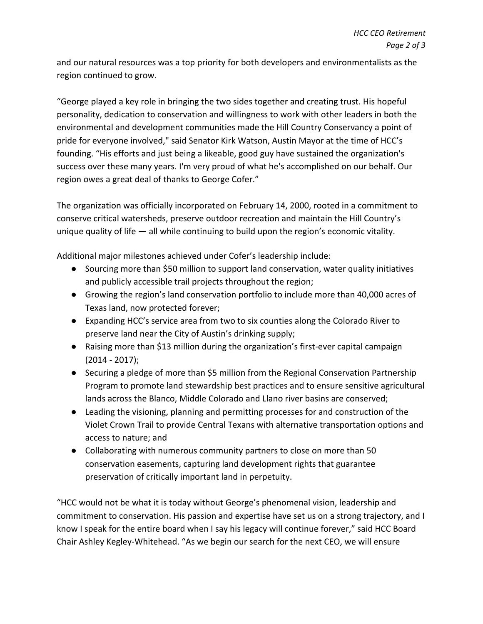and our natural resources was a top priority for both developers and environmentalists as the region continued to grow.

"George played a key role in bringing the two sides together and creating trust. His hopeful personality, dedication to conservation and willingness to work with other leaders in both the environmental and development communities made the Hill Country Conservancy a point of pride for everyone involved," said Senator Kirk Watson, Austin Mayor at the time of HCC's founding. "His efforts and just being a likeable, good guy have sustained the organization's success over these many years. I'm very proud of what he's accomplished on our behalf. Our region owes a great deal of thanks to George Cofer."

The organization was officially incorporated on February 14, 2000, rooted in a commitment to conserve critical watersheds, preserve outdoor recreation and maintain the Hill Country's unique quality of life — all while continuing to build upon the region's economic vitality.

Additional major milestones achieved under Cofer's leadership include:

- Sourcing more than \$50 million to support land conservation, water quality initiatives and publicly accessible trail projects throughout the region;
- Growing the region's land conservation portfolio to include more than 40,000 acres of Texas land, now protected forever;
- Expanding HCC's service area from two to six counties along the Colorado River to preserve land near the City of Austin's drinking supply;
- Raising more than \$13 million during the organization's first-ever capital campaign (2014 - 2017);
- Securing a pledge of more than \$5 million from the Regional Conservation Partnership Program to promote land stewardship best practices and to ensure sensitive agricultural lands across the Blanco, Middle Colorado and Llano river basins are conserved;
- Leading the visioning, planning and permitting processes for and construction of the Violet Crown Trail to provide Central Texans with alternative transportation options and access to nature; and
- Collaborating with numerous community partners to close on more than 50 conservation easements, capturing land development rights that guarantee preservation of critically important land in perpetuity.

"HCC would not be what it is today without George's phenomenal vision, leadership and commitment to conservation. His passion and expertise have set us on a strong trajectory, and I know I speak for the entire board when I say his legacy will continue forever," said HCC Board Chair Ashley Kegley-Whitehead. "As we begin our search for the next CEO, we will ensure